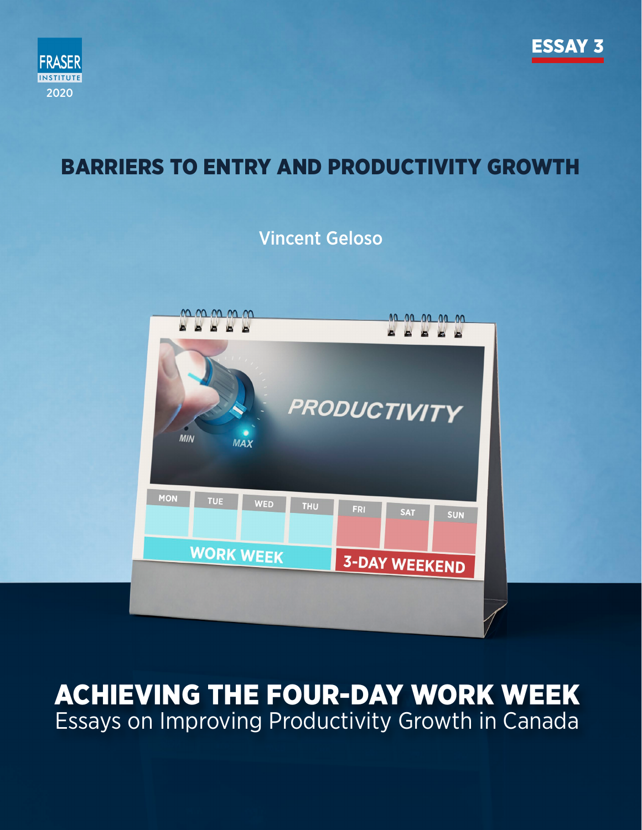



## BARRIERS TO ENTRY AND PRODUCTIVITY GROWTH

### Vincent Geloso



# ACHIEVING THE FOUR-DAY WORK WEEK Essays on Improving Productivity Growth in Canada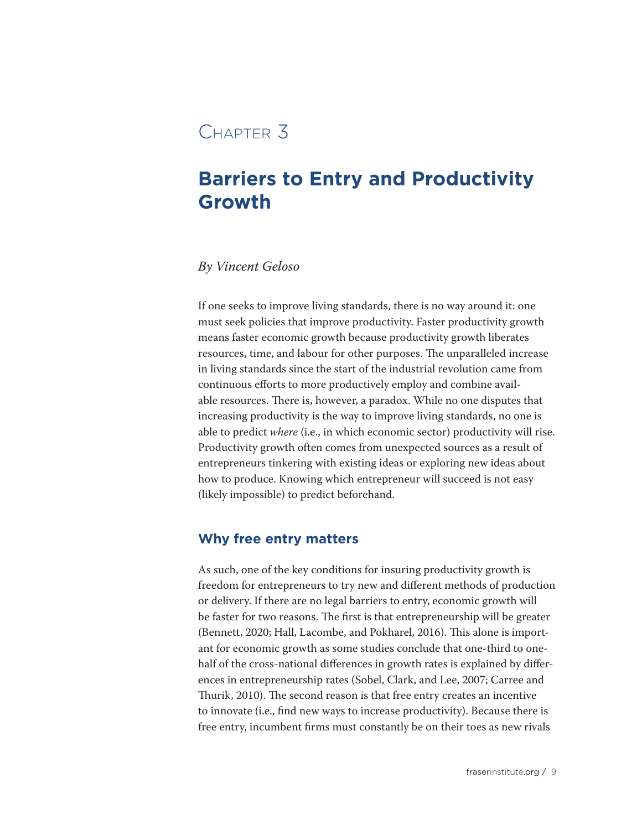### Chapter 3

## **Barriers to Entry and Productivity Growth**

#### *By Vincent Geloso*

If one seeks to improve living standards, there is no way around it: one must seek policies that improve productivity. Faster productivity growth means faster economic growth because productivity growth liberates resources, time, and labour for other purposes. The unparalleled increase in living standards since the start of the industrial revolution came from continuous efforts to more productively employ and combine available resources. There is, however, a paradox. While no one disputes that increasing productivity is the way to improve living standards, no one is able to predict *where* (i.e., in which economic sector) productivity will rise. Productivity growth often comes from unexpected sources as a result of entrepreneurs tinkering with existing ideas or exploring new ideas about how to produce. Knowing which entrepreneur will succeed is not easy (likely impossible) to predict beforehand.

#### **Why free entry matters**

As such, one of the key conditions for insuring productivity growth is freedom for entrepreneurs to try new and different methods of production or delivery. If there are no legal barriers to entry, economic growth will be faster for two reasons. The first is that entrepreneurship will be greater (Bennett, 2020; Hall, Lacombe, and Pokharel, 2016). This alone is important for economic growth as some studies conclude that one-third to onehalf of the cross-national differences in growth rates is explained by differences in entrepreneurship rates (Sobel, Clark, and Lee, 2007; Carree and Thurik, 2010). The second reason is that free entry creates an incentive to innovate (i.e., find new ways to increase productivity). Because there is free entry, incumbent firms must constantly be on their toes as new rivals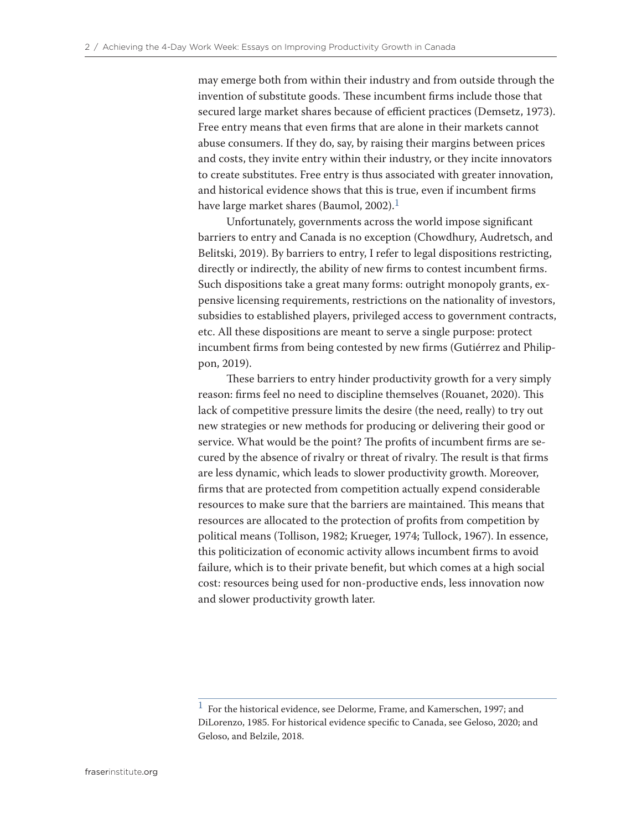may emerge both from within their industry and from outside through the invention of substitute goods. These incumbent firms include those that secured large market shares because of efficient practices (Demsetz, 1973). Free entry means that even firms that are alone in their markets cannot abuse consumers. If they do, say, by raising their margins between prices and costs, they invite entry within their industry, or they incite innovators to create substitutes. Free entry is thus associated with greater innovation, and historical evidence shows that this is true, even if incumbent firms have large market shares (Baumol, 2002).<sup>1</sup>

Unfortunately, governments across the world impose significant barriers to entry and Canada is no exception (Chowdhury, Audretsch, and Belitski, 2019). By barriers to entry, I refer to legal dispositions restricting, directly or indirectly, the ability of new firms to contest incumbent firms. Such dispositions take a great many forms: outright monopoly grants, expensive licensing requirements, restrictions on the nationality of investors, subsidies to established players, privileged access to government contracts, etc. All these dispositions are meant to serve a single purpose: protect incumbent firms from being contested by new firms (Gutiérrez and Philippon, 2019).

These barriers to entry hinder productivity growth for a very simply reason: firms feel no need to discipline themselves (Rouanet, 2020). This lack of competitive pressure limits the desire (the need, really) to try out new strategies or new methods for producing or delivering their good or service. What would be the point? The profits of incumbent firms are secured by the absence of rivalry or threat of rivalry. The result is that firms are less dynamic, which leads to slower productivity growth. Moreover, firms that are protected from competition actually expend considerable resources to make sure that the barriers are maintained. This means that resources are allocated to the protection of profits from competition by political means (Tollison, 1982; Krueger, 1974; Tullock, 1967). In essence, this politicization of economic activity allows incumbent firms to avoid failure, which is to their private benefit, but which comes at a high social cost: resources being used for non-productive ends, less innovation now and slower productivity growth later.

 $^{\rm 1}$  For the historical evidence, see Delorme, Frame, and Kamerschen, 1997; and DiLorenzo, 1985. For historical evidence specific to Canada, see Geloso, 2020; and Geloso, and Belzile, 2018.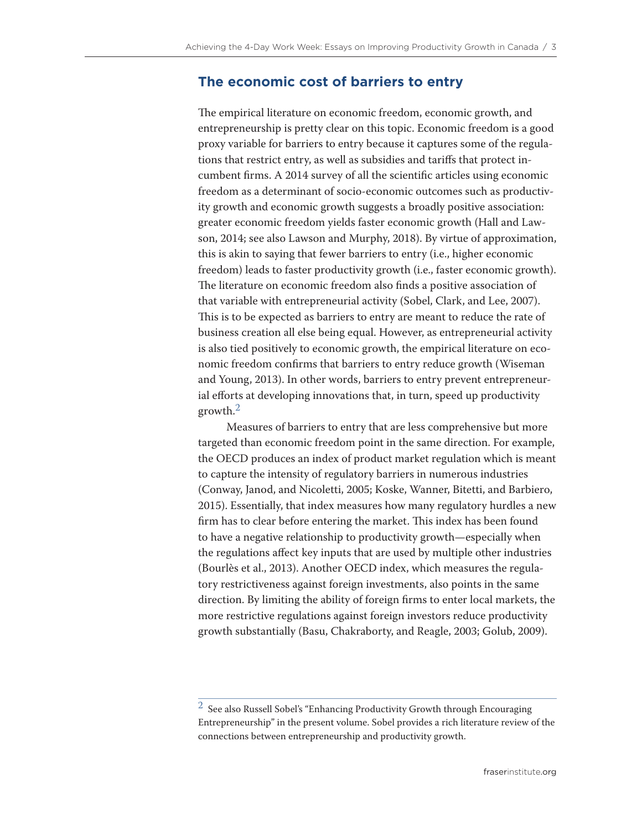#### **The economic cost of barriers to entry**

The empirical literature on economic freedom, economic growth, and entrepreneurship is pretty clear on this topic. Economic freedom is a good proxy variable for barriers to entry because it captures some of the regulations that restrict entry, as well as subsidies and tariffs that protect incumbent firms. A 2014 survey of all the scientific articles using economic freedom as a determinant of socio-economic outcomes such as productivity growth and economic growth suggests a broadly positive association: greater economic freedom yields faster economic growth (Hall and Lawson, 2014; see also Lawson and Murphy, 2018). By virtue of approximation, this is akin to saying that fewer barriers to entry (i.e., higher economic freedom) leads to faster productivity growth (i.e., faster economic growth). The literature on economic freedom also finds a positive association of that variable with entrepreneurial activity (Sobel, Clark, and Lee, 2007). This is to be expected as barriers to entry are meant to reduce the rate of business creation all else being equal. However, as entrepreneurial activity is also tied positively to economic growth, the empirical literature on economic freedom confirms that barriers to entry reduce growth (Wiseman and Young, 2013). In other words, barriers to entry prevent entrepreneurial efforts at developing innovations that, in turn, speed up productivity growth.2

Measures of barriers to entry that are less comprehensive but more targeted than economic freedom point in the same direction. For example, the OECD produces an index of product market regulation which is meant to capture the intensity of regulatory barriers in numerous industries (Conway, Janod, and Nicoletti, 2005; Koske, Wanner, Bitetti, and Barbiero, 2015). Essentially, that index measures how many regulatory hurdles a new firm has to clear before entering the market. This index has been found to have a negative relationship to productivity growth—especially when the regulations affect key inputs that are used by multiple other industries (Bourlès et al., 2013). Another OECD index, which measures the regulatory restrictiveness against foreign investments, also points in the same direction. By limiting the ability of foreign firms to enter local markets, the more restrictive regulations against foreign investors reduce productivity growth substantially (Basu, Chakraborty, and Reagle, 2003; Golub, 2009).

 $^2\,$  See also Russell Sobel's "Enhancing Productivity Growth through Encouraging Entrepreneurship" in the present volume. Sobel provides a rich literature review of the connections between entrepreneurship and productivity growth.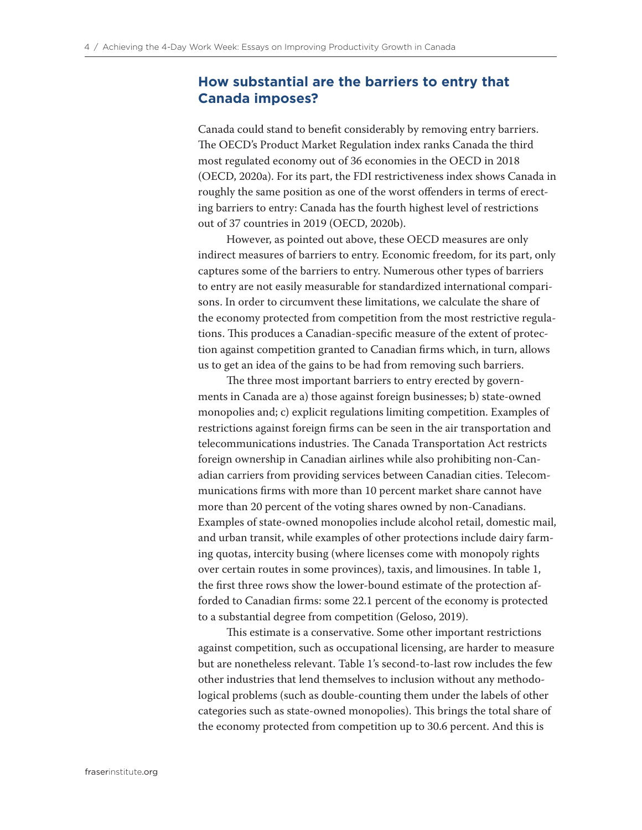#### **How substantial are the barriers to entry that Canada imposes?**

Canada could stand to benefit considerably by removing entry barriers. The OECD's Product Market Regulation index ranks Canada the third most regulated economy out of 36 economies in the OECD in 2018 (OECD, 2020a). For its part, the FDI restrictiveness index shows Canada in roughly the same position as one of the worst offenders in terms of erecting barriers to entry: Canada has the fourth highest level of restrictions out of 37 countries in 2019 (OECD, 2020b).

However, as pointed out above, these OECD measures are only indirect measures of barriers to entry. Economic freedom, for its part, only captures some of the barriers to entry. Numerous other types of barriers to entry are not easily measurable for standardized international comparisons. In order to circumvent these limitations, we calculate the share of the economy protected from competition from the most restrictive regulations. This produces a Canadian-specific measure of the extent of protection against competition granted to Canadian firms which, in turn, allows us to get an idea of the gains to be had from removing such barriers.

The three most important barriers to entry erected by governments in Canada are a) those against foreign businesses; b) state-owned monopolies and; c) explicit regulations limiting competition. Examples of restrictions against foreign firms can be seen in the air transportation and telecommunications industries. The Canada Transportation Act restricts foreign ownership in Canadian airlines while also prohibiting non-Canadian carriers from providing services between Canadian cities. Telecommunications firms with more than 10 percent market share cannot have more than 20 percent of the voting shares owned by non-Canadians. Examples of state-owned monopolies include alcohol retail, domestic mail, and urban transit, while examples of other protections include dairy farming quotas, intercity busing (where licenses come with monopoly rights over certain routes in some provinces), taxis, and limousines. In table 1, the first three rows show the lower-bound estimate of the protection afforded to Canadian firms: some 22.1 percent of the economy is protected to a substantial degree from competition (Geloso, 2019).

This estimate is a conservative. Some other important restrictions against competition, such as occupational licensing, are harder to measure but are nonetheless relevant. Table 1's second-to-last row includes the few other industries that lend themselves to inclusion without any methodological problems (such as double-counting them under the labels of other categories such as state-owned monopolies). This brings the total share of the economy protected from competition up to 30.6 percent. And this is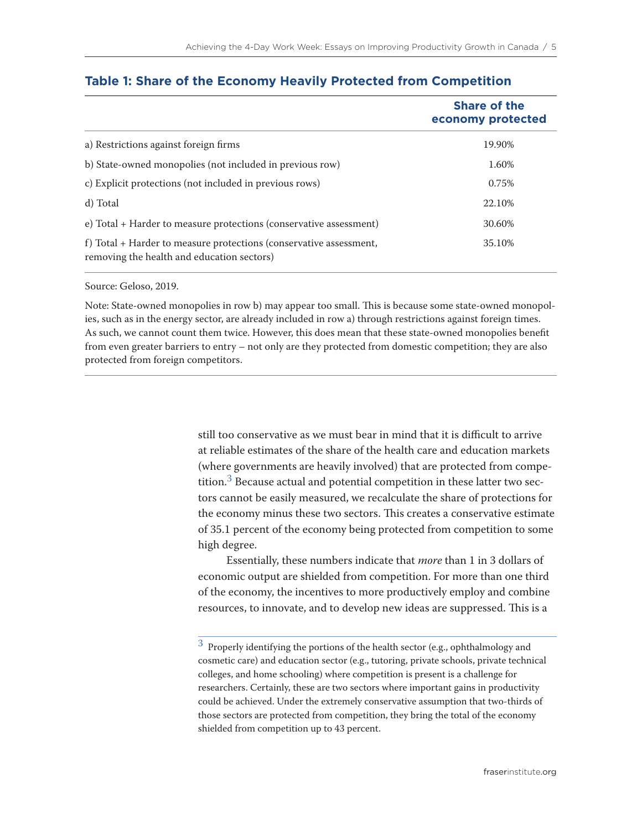|                                                                                                                  | <b>Share of the</b><br>economy protected |
|------------------------------------------------------------------------------------------------------------------|------------------------------------------|
| a) Restrictions against foreign firms                                                                            | 19.90%                                   |
| b) State-owned monopolies (not included in previous row)                                                         | 1.60%                                    |
| c) Explicit protections (not included in previous rows)                                                          | 0.75%                                    |
| d) Total                                                                                                         | 22.10%                                   |
| e) Total + Harder to measure protections (conservative assessment)                                               | 30.60%                                   |
| f) Total + Harder to measure protections (conservative assessment,<br>removing the health and education sectors) | 35.10%                                   |

#### **Table 1: Share of the Economy Heavily Protected from Competition**

#### Source: Geloso, 2019.

Note: State-owned monopolies in row b) may appear too small. This is because some state-owned monopolies, such as in the energy sector, are already included in row a) through restrictions against foreign times. As such, we cannot count them twice. However, this does mean that these state-owned monopolies benefit from even greater barriers to entry – not only are they protected from domestic competition; they are also protected from foreign competitors.

> still too conservative as we must bear in mind that it is difficult to arrive at reliable estimates of the share of the health care and education markets (where governments are heavily involved) that are protected from competition.<sup>3</sup> Because actual and potential competition in these latter two sectors cannot be easily measured, we recalculate the share of protections for the economy minus these two sectors. This creates a conservative estimate of 35.1 percent of the economy being protected from competition to some high degree.

Essentially, these numbers indicate that *more* than 1 in 3 dollars of economic output are shielded from competition. For more than one third of the economy, the incentives to more productively employ and combine resources, to innovate, and to develop new ideas are suppressed. This is a

 $^3\,$  Properly identifying the portions of the health sector (e.g., ophthalmology and cosmetic care) and education sector (e.g., tutoring, private schools, private technical colleges, and home schooling) where competition is present is a challenge for researchers. Certainly, these are two sectors where important gains in productivity could be achieved. Under the extremely conservative assumption that two-thirds of those sectors are protected from competition, they bring the total of the economy shielded from competition up to 43 percent.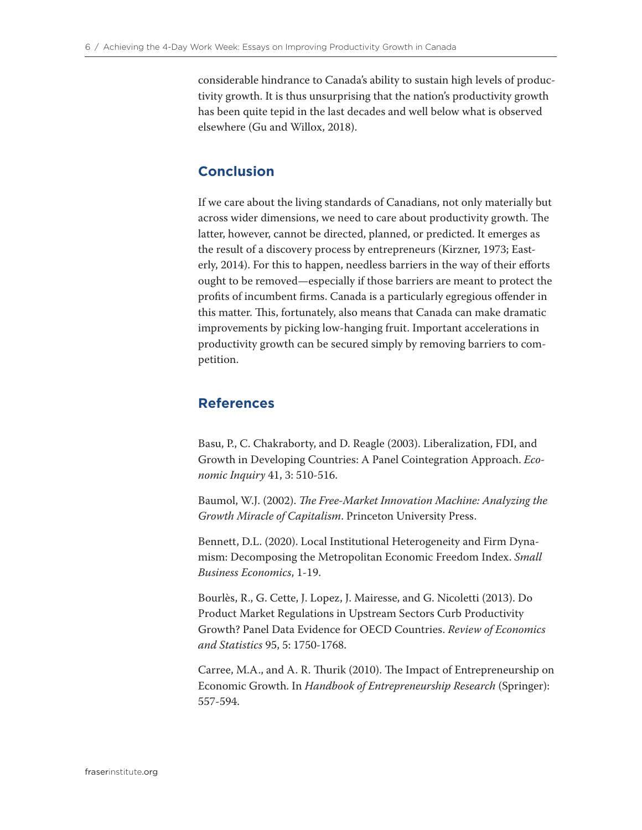considerable hindrance to Canada's ability to sustain high levels of productivity growth. It is thus unsurprising that the nation's productivity growth has been quite tepid in the last decades and well below what is observed elsewhere (Gu and Willox, 2018).

### **Conclusion**

If we care about the living standards of Canadians, not only materially but across wider dimensions, we need to care about productivity growth. The latter, however, cannot be directed, planned, or predicted. It emerges as the result of a discovery process by entrepreneurs (Kirzner, 1973; Easterly, 2014). For this to happen, needless barriers in the way of their efforts ought to be removed—especially if those barriers are meant to protect the profits of incumbent firms. Canada is a particularly egregious offender in this matter. This, fortunately, also means that Canada can make dramatic improvements by picking low-hanging fruit. Important accelerations in productivity growth can be secured simply by removing barriers to competition.

#### **References**

Basu, P., C. Chakraborty, and D. Reagle (2003). Liberalization, FDI, and Growth in Developing Countries: A Panel Cointegration Approach. *Economic Inquiry* 41, 3: 510-516.

Baumol, W.J. (2002). *The Free-Market Innovation Machine: Analyzing the Growth Miracle of Capitalism*. Princeton University Press.

Bennett, D.L. (2020). Local Institutional Heterogeneity and Firm Dynamism: Decomposing the Metropolitan Economic Freedom Index. *Small Business Economics*, 1-19.

Bourlès, R., G. Cette, J. Lopez, J. Mairesse, and G. Nicoletti (2013). Do Product Market Regulations in Upstream Sectors Curb Productivity Growth? Panel Data Evidence for OECD Countries. *Review of Economics and Statistics* 95, 5: 1750-1768.

Carree, M.A., and A. R. Thurik (2010). The Impact of Entrepreneurship on Economic Growth. In *Handbook of Entrepreneurship Research* (Springer): 557-594.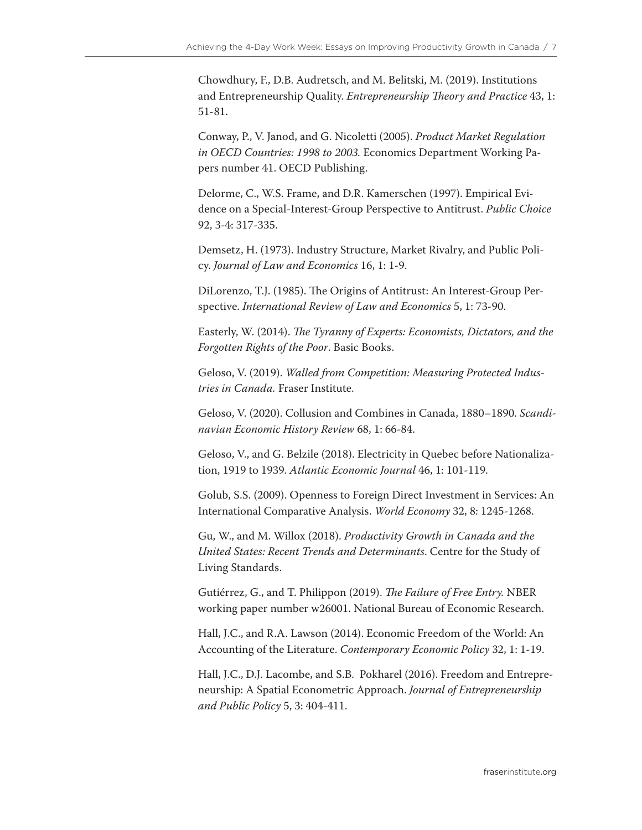Chowdhury, F., D.B. Audretsch, and M. Belitski, M. (2019). Institutions and Entrepreneurship Quality. *Entrepreneurship Theory and Practice* 43, 1: 51-81.

Conway, P., V. Janod, and G. Nicoletti (2005). *Product Market Regulation in OECD Countries: 1998 to 2003.* Economics Department Working Papers number 41. OECD Publishing.

Delorme, C., W.S. Frame, and D.R. Kamerschen (1997). Empirical Evidence on a Special-Interest-Group Perspective to Antitrust. *Public Choice* 92, 3-4: 317-335.

Demsetz, H. (1973). Industry Structure, Market Rivalry, and Public Policy. *Journal of Law and Economics* 16, 1: 1-9.

DiLorenzo, T.J. (1985). The Origins of Antitrust: An Interest-Group Perspective. *International Review of Law and Economics* 5, 1: 73-90.

Easterly, W. (2014). *The Tyranny of Experts: Economists, Dictators, and the Forgotten Rights of the Poor*. Basic Books.

Geloso, V. (2019). *Walled from Competition: Measuring Protected Industries in Canada.* Fraser Institute.

Geloso, V. (2020). Collusion and Combines in Canada, 1880–1890. *Scandinavian Economic History Review* 68, 1: 66-84.

Geloso, V., and G. Belzile (2018). Electricity in Quebec before Nationalization, 1919 to 1939. *Atlantic Economic Journal* 46, 1: 101-119.

Golub, S.S. (2009). Openness to Foreign Direct Investment in Services: An International Comparative Analysis. *World Economy* 32, 8: 1245-1268.

Gu, W., and M. Willox (2018). *Productivity Growth in Canada and the United States: Recent Trends and Determinants*. Centre for the Study of Living Standards.

Gutiérrez, G., and T. Philippon (2019). *The Failure of Free Entry.* NBER working paper number w26001. National Bureau of Economic Research.

Hall, J.C., and R.A. Lawson (2014). Economic Freedom of the World: An Accounting of the Literature. *Contemporary Economic Policy* 32, 1: 1-19.

Hall, J.C., D.J. Lacombe, and S.B. Pokharel (2016). Freedom and Entrepreneurship: A Spatial Econometric Approach. *Journal of Entrepreneurship and Public Policy* 5, 3: 404-411.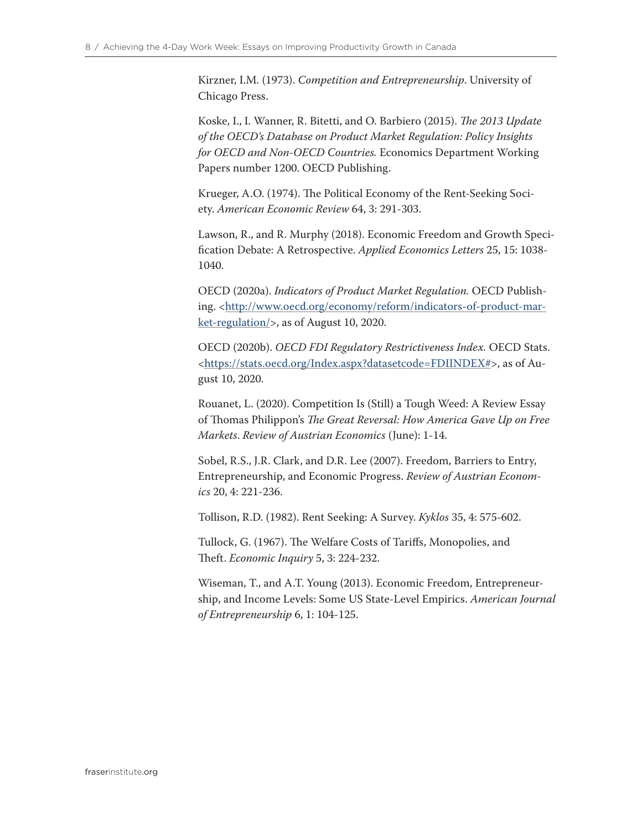Kirzner, I.M. (1973). *Competition and Entrepreneurship*. University of Chicago Press.

Koske, I., I. Wanner, R. Bitetti, and O. Barbiero (2015). *The 2013 Update of the OECD's Database on Product Market Regulation: Policy Insights for OECD and Non-OECD Countries.* Economics Department Working Papers number 1200. OECD Publishing.

Krueger, A.O. (1974). The Political Economy of the Rent-Seeking Society. *American Economic Review* 64, 3: 291-303.

Lawson, R., and R. Murphy (2018). Economic Freedom and Growth Specification Debate: A Retrospective. *Applied Economics Letters* 25, 15: 1038- 1040.

OECD (2020a). *Indicators of Product Market Regulation.* OECD Publishing. <[http://www.oecd.org/economy/reform/indicators-of-product-mar](http://www.oecd.org/economy/reform/indicators-of-product-market-regulation/)[ket-regulation/>](http://www.oecd.org/economy/reform/indicators-of-product-market-regulation/), as of August 10, 2020.

OECD (2020b). *OECD FDI Regulatory Restrictiveness Index.* OECD Stats. [<https://stats.oecd.org/Index.aspx?datasetcode=FDIINDEX#>](https://stats.oecd.org/Index.aspx?datasetcode=FDIINDEX), as of August 10, 2020.

Rouanet, L. (2020). Competition Is (Still) a Tough Weed: A Review Essay of Thomas Philippon's *The Great Reversal: How America Gave Up on Free Markets*. *Review of Austrian Economics* (June): 1-14.

Sobel, R.S., J.R. Clark, and D.R. Lee (2007). Freedom, Barriers to Entry, Entrepreneurship, and Economic Progress. *Review of Austrian Economics* 20, 4: 221-236.

Tollison, R.D. (1982). Rent Seeking: A Survey. *Kyklos* 35, 4: 575-602.

Tullock, G. (1967). The Welfare Costs of Tariffs, Monopolies, and Theft. *Economic Inquiry* 5, 3: 224-232.

Wiseman, T., and A.T. Young (2013). Economic Freedom, Entrepreneurship, and Income Levels: Some US State-Level Empirics. *American Journal of Entrepreneurship* 6, 1: 104-125.